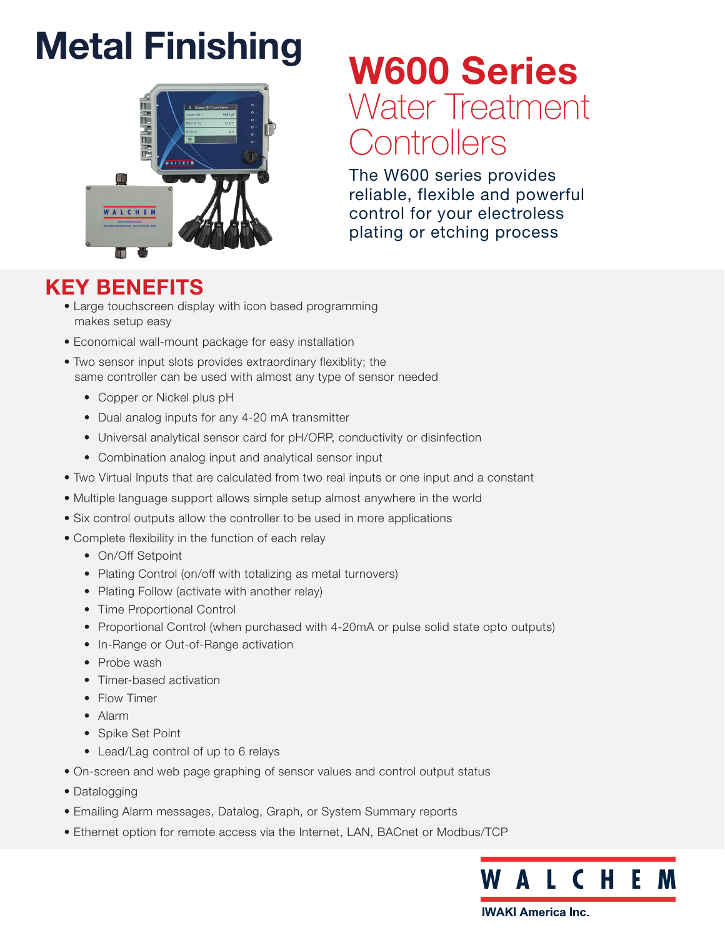# **Metal Finishing**



# W600 Series Water Treatment **Controllers**

The W600 series provides reliable, flexible and powerful control for your electroless plating or etching process

## KEY BENEFITS

- Large touchscreen display with icon based programming makes setup easy
- Economical wall-mount package for easy installation
- Two sensor input slots provides extraordinary flexiblity; the same controller can be used with almost any type of sensor needed
	- Copper or Nickel plus pH
	- Dual analog inputs for any 4-20 mA transmitter
	- Universal analytical sensor card for pH/ORP, conductivity or disinfection
	- Combination analog input and analytical sensor input
- Two Virtual Inputs that are calculated from two real inputs or one input and a constant
- Multiple language support allows simple setup almost anywhere in the world
- Six control outputs allow the controller to be used in more applications
- Complete flexibility in the function of each relay
	- On/Off Setpoint
	- Plating Control (on/off with totalizing as metal turnovers)
	- Plating Follow (activate with another relay)
	- Time Proportional Control
	- Proportional Control (when purchased with 4-20mA or pulse solid state opto outputs)
	- In-Range or Out-of-Range activation
	- Probe wash
	- Timer-based activation
	- Flow Timer
	- Alarm
	- Spike Set Point
	- Lead/Lag control of up to 6 relays
- On-screen and web page graphing of sensor values and control output status
- Datalogging
- Emailing Alarm messages, Datalog, Graph, or System Summary reports
- Ethernet option for remote access via the Internet, LAN, BACnet or Modbus/TCP

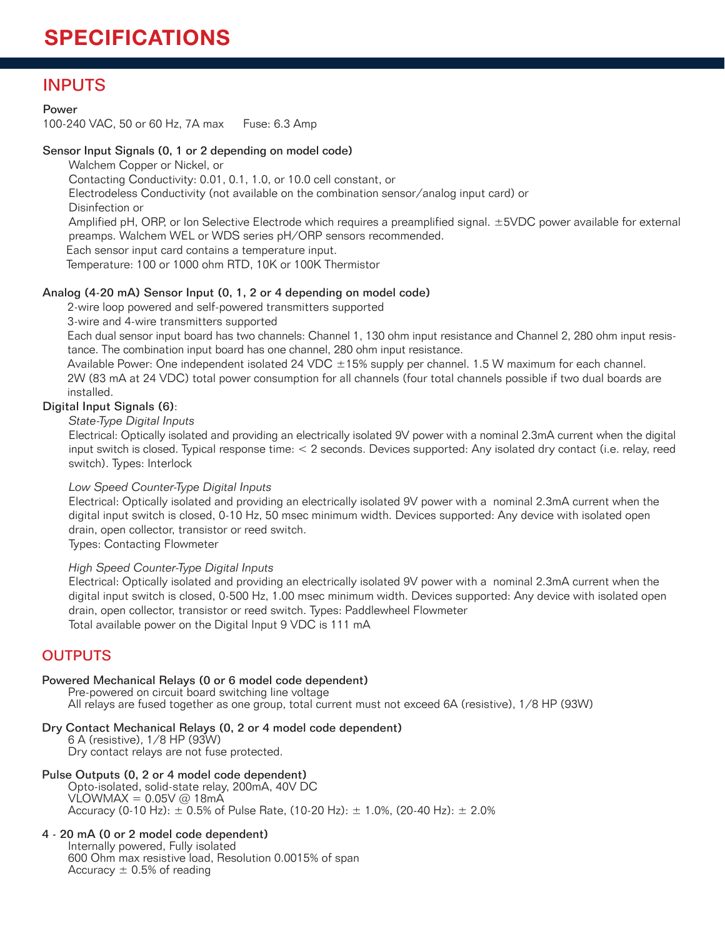### INPUTS

#### Power

100-240 VAC, 50 or 60 Hz, 7A max Fuse: 6.3 Amp

#### Sensor Input Signals (0, 1 or 2 depending on model code)

Walchem Copper or Nickel, or

Contacting Conductivity: 0.01, 0.1, 1.0, or 10.0 cell constant, or

Electrodeless Conductivity (not available on the combination sensor/analog input card) or

Disinfection or

Amplified pH, ORP, or Ion Selective Electrode which requires a preamplified signal. ±5VDC power available for external preamps. Walchem WEL or WDS series pH/ORP sensors recommended.

Each sensor input card contains a temperature input.

Temperature: 100 or 1000 ohm RTD, 10K or 100K Thermistor

#### Analog (4-20 mA) Sensor Input (0, 1, 2 or 4 depending on model code)

2-wire loop powered and self-powered transmitters supported

3-wire and 4-wire transmitters supported

Each dual sensor input board has two channels: Channel 1, 130 ohm input resistance and Channel 2, 280 ohm input resistance. The combination input board has one channel, 280 ohm input resistance.

Available Power: One independent isolated 24 VDC ±15% supply per channel. 1.5 W maximum for each channel. 2W (83 mA at 24 VDC) total power consumption for all channels (four total channels possible if two dual boards are installed.

#### Digital Input Signals (6):

*State-Type Digital Inputs* 

Electrical: Optically isolated and providing an electrically isolated 9V power with a nominal 2.3mA current when the digital input switch is closed. Typical response time: < 2 seconds. Devices supported: Any isolated dry contact (i.e. relay, reed switch). Types: Interlock

#### *Low Speed Counter-Type Digital Inputs*

Electrical: Optically isolated and providing an electrically isolated 9V power with a nominal 2.3mA current when the digital input switch is closed, 0-10 Hz, 50 msec minimum width. Devices supported: Any device with isolated open drain, open collector, transistor or reed switch.

Types: Contacting Flowmeter

#### *High Speed Counter-Type Digital Inputs*

Electrical: Optically isolated and providing an electrically isolated 9V power with a nominal 2.3mA current when the digital input switch is closed, 0-500 Hz, 1.00 msec minimum width. Devices supported: Any device with isolated open drain, open collector, transistor or reed switch. Types: Paddlewheel Flowmeter Total available power on the Digital Input 9 VDC is 111 mA

#### **OUTPUTS**

#### Powered Mechanical Relays (0 or 6 model code dependent)

Pre-powered on circuit board switching line voltage All relays are fused together as one group, total current must not exceed 6A (resistive), 1/8 HP (93W)

#### Dry Contact Mechanical Relays (0, 2 or 4 model code dependent)

6 A (resistive), 1/8 HP (93W) Dry contact relays are not fuse protected.

#### Pulse Outputs (0, 2 or 4 model code dependent)

Opto-isolated, solid-state relay, 200mA, 40V DC  $VLOWMAX = 0.05V @ 18mA$ Accuracy (0-10 Hz):  $\pm$  0.5% of Pulse Rate, (10-20 Hz):  $\pm$  1.0%, (20-40 Hz):  $\pm$  2.0%

#### 4 - 20 mA (0 or 2 model code dependent)

Internally powered, Fully isolated 600 Ohm max resistive load, Resolution 0.0015% of span Accuracy  $\pm$  0.5% of reading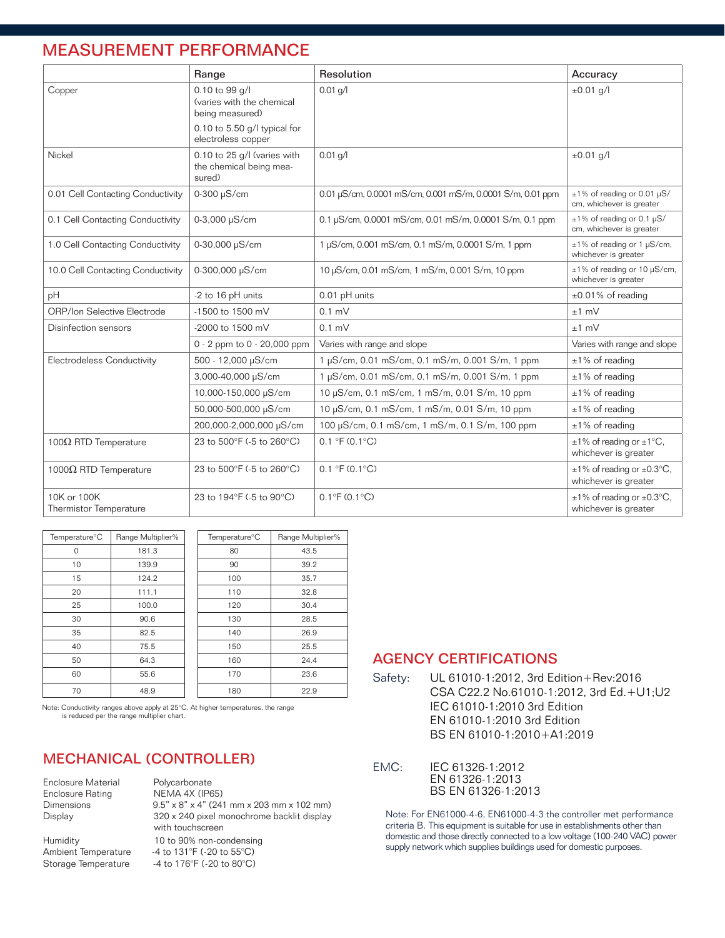### MEASUREMENT PERFORMANCE

|                                              | Range                                                            | Resolution                                                 | Accuracy                                                             |
|----------------------------------------------|------------------------------------------------------------------|------------------------------------------------------------|----------------------------------------------------------------------|
| Copper                                       | 0.10 to 99 g/l<br>(varies with the chemical<br>being measured)   | $0.01$ g/l                                                 | $±0.01$ g/l                                                          |
|                                              | 0.10 to 5.50 g/l typical for<br>electroless copper               |                                                            |                                                                      |
| Nickel                                       | 0.10 to 25 g/l (varies with<br>the chemical being mea-<br>sured) | $0.01$ g/l                                                 | $±0.01$ g/l                                                          |
| 0.01 Cell Contacting Conductivity            | 0-300 µS/cm                                                      | 0.01 µS/cm, 0.0001 mS/cm, 0.001 mS/m, 0.0001 S/m, 0.01 ppm | $\pm 1\%$ of reading or 0.01 µS/<br>cm, whichever is greater         |
| 0.1 Cell Contacting Conductivity             | 0-3,000 µS/cm                                                    | 0.1 µS/cm, 0.0001 mS/cm, 0.01 mS/m, 0.0001 S/m, 0.1 ppm    | $\pm 1\%$ of reading or 0.1 µS/<br>cm, whichever is greater          |
| 1.0 Cell Contacting Conductivity             | 0-30,000 µS/cm                                                   | 1 µS/cm, 0.001 mS/cm, 0.1 mS/m, 0.0001 S/m, 1 ppm          | $\pm 1\%$ of reading or 1 µS/cm,<br>whichever is greater             |
| 10.0 Cell Contacting Conductivity            | 0-300,000 µS/cm                                                  | 10 µS/cm, 0.01 mS/cm, 1 mS/m, 0.001 S/m, 10 ppm            | ±1% of reading or 10 µS/cm,<br>whichever is greater                  |
| pH                                           | -2 to 16 pH units                                                | 0.01 pH units                                              | $\pm 0.01\%$ of reading                                              |
| <b>ORP/Ion Selective Electrode</b>           | -1500 to 1500 mV                                                 | $0.1$ mV                                                   | $±1$ mV                                                              |
| -2000 to 1500 mV<br>Disinfection sensors     |                                                                  | $0.1$ mV                                                   | $±1$ mV                                                              |
|                                              | 0 - 2 ppm to 0 - 20,000 ppm                                      | Varies with range and slope                                | Varies with range and slope                                          |
| Electrodeless Conductivity                   | 500 - 12,000 µS/cm                                               | 1 µS/cm, 0.01 mS/cm, 0.1 mS/m, 0.001 S/m, 1 ppm            | $±1\%$ of reading                                                    |
|                                              | 3,000-40,000 µS/cm                                               | 1 µS/cm, 0.01 mS/cm, 0.1 mS/m, 0.001 S/m, 1 ppm            | $±1\%$ of reading                                                    |
|                                              | 10,000-150,000 µS/cm                                             | 10 µS/cm, 0.1 mS/cm, 1 mS/m, 0.01 S/m, 10 ppm              | $±1\%$ of reading                                                    |
|                                              | 50,000-500,000 µS/cm                                             | 10 µS/cm, 0.1 mS/cm, 1 mS/m, 0.01 S/m, 10 ppm              | $±1\%$ of reading                                                    |
|                                              | 200,000-2,000,000 µS/cm                                          | 100 μS/cm, 0.1 mS/cm, 1 mS/m, 0.1 S/m, 100 ppm             | $±1\%$ of reading                                                    |
| 100 $Ω$ RTD Temperature                      | 23 to 500°F (-5 to 260°C)                                        | $0.1 \text{ }^{\circ}F(0.1 \text{ }^{\circ}C)$             | $\pm 1\%$ of reading or $\pm 1\degree$ C.<br>whichever is greater    |
| 1000 $Ω$ RTD Temperature                     | 23 to 500°F (-5 to 260°C)                                        | 0.1 °F (0.1 °C)                                            | $\pm 1\%$ of reading or $\pm 0.3$ °C,<br>whichever is greater        |
| 10K or 100K<br><b>Thermistor Temperature</b> | 23 to 194°F (-5 to 90°C)                                         | $0.1^{\circ}$ F (0.1 $^{\circ}$ C)                         | $\pm 1\%$ of reading or $\pm 0.3^{\circ}$ C,<br>whichever is greater |

| Temperature <sup>o</sup> C | Range Multiplier% | Temperature <sup>o</sup> C | Range Multiplier% |
|----------------------------|-------------------|----------------------------|-------------------|
| 0                          | 181.3             | 80                         | 43.5              |
| 10                         | 139.9             | 90                         | 39.2              |
| 15                         | 124.2             | 100                        | 35.7              |
| 20                         | 111.1             | 110                        | 32.8              |
| 25                         | 100.0             | 120                        | 30.4              |
| 30                         | 90.6              | 130                        | 28.5              |
| 35                         | 82.5              | 140                        | 26.9              |
| 40                         | 75.5              | 150                        | 25.5              |
| 50                         | 64.3              | 160                        | 24.4              |
| 60                         | 55.6              | 170                        | 23.6              |
| 70                         | 48.9              | 180                        | 22.9              |

Note: Conductivity ranges above apply at 25°C. At higher temperatures, the range is reduced per the range multiplier chart.

#### MECHANICAL (CONTROLLER)

Enclosure Material Polycarbonate<br>Enclosure Rating MEMA 4X (IP6 Enclosure Rating NEMA 4X (IP65)<br>Dimensions 9.5" x 8" x 4" (24" Dimensions 9.5" x 8" x 4" (241 mm x 203 mm x 102 mm)<br>Display 320 x 240 pixel monochrome backlit display 320 x 240 pixel monochrome backlit display with touchscreen Humidity 10 to 90% non-condensing<br>Ambient Temperature 4 to 131°F (-20 to 55°C) Ambient Temperature -4 to 131°F (-20 to 55°C)<br>Storage Temperature -4 to 176°F (-20 to 80°C) -4 to 176°F (-20 to 80°C)

#### AGENCY CERTIFICATIONS

Safety: UL 61010-1:2012, 3rd Edition+Rev:2016 CSA C22.2 No.61010-1:2012, 3rd Ed.+U1;U2 IEC 61010-1:2010 3rd Edition EN 61010-1:2010 3rd Edition BS EN 61010-1:2010+A1:2019

EMC: IEC 61326-1:2012 EN 61326-1:2013 BS EN 61326-1:2013

Note: For EN61000-4-6, EN61000-4-3 the controller met performance criteria B. This equipment is suitable for use in establishments other than domestic and those directly connected to a low voltage (100-240 VAC) power supply network which supplies buildings used for domestic purposes.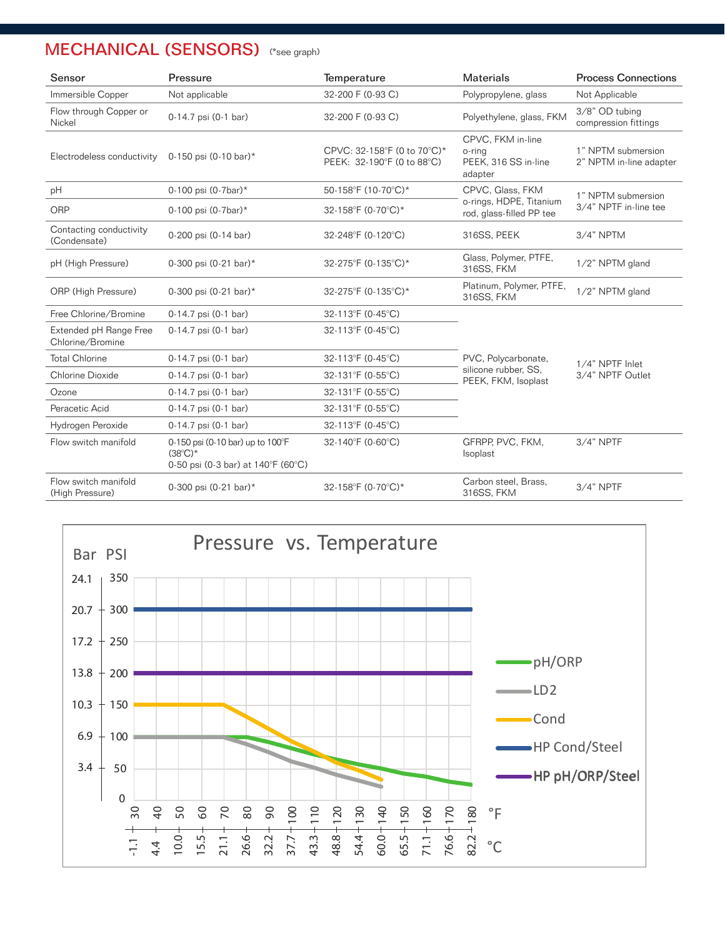| Sensor                                                                                                            | Pressure                                                                                      | Temperature                                               | Materials                                                      | <b>Process Connections</b>                    |  |
|-------------------------------------------------------------------------------------------------------------------|-----------------------------------------------------------------------------------------------|-----------------------------------------------------------|----------------------------------------------------------------|-----------------------------------------------|--|
| Immersible Copper                                                                                                 | Not applicable                                                                                | 32-200 F (0-93 C)                                         | Polypropylene, glass                                           | Not Applicable                                |  |
| Flow through Copper or<br>Nickel                                                                                  | 0-14.7 psi (0-1 bar)                                                                          | 32-200 F (0-93 C)                                         | Polyethylene, glass, FKM                                       | 3/8" OD tubing<br>compression fittings        |  |
| Electrodeless conductivity<br>0-150 psi (0-10 bar)*                                                               |                                                                                               | CPVC: 32-158°F (0 to 70°C)*<br>PEEK: 32-190°F (0 to 88°C) | CPVC, FKM in-line<br>o-ring<br>PEEK, 316 SS in-line<br>adapter | 1" NPTM submersion<br>2" NPTM in-line adapter |  |
| pH                                                                                                                | 0-100 psi (0-7bar)*                                                                           | 50-158°F (10-70°C)*                                       | CPVC, Glass, FKM                                               | 1" NPTM submersion                            |  |
| ORP                                                                                                               | 0-100 psi (0-7bar)*                                                                           | 32-158°F (0-70°C)*                                        | o-rings, HDPE, Titanium<br>rod, glass-filled PP tee            | 3/4" NPTF in-line tee                         |  |
| Contacting conductivity<br>(Condensate)                                                                           | 0-200 psi (0-14 bar)                                                                          | 32-248°F (0-120°C)                                        | 316SS, PEEK                                                    | $3/4"$ NPTM                                   |  |
| pH (High Pressure)                                                                                                | 0-300 psi (0-21 bar)*                                                                         | 32-275°F (0-135°C)*                                       | Glass, Polymer, PTFE,<br>316SS, FKM                            | 1/2" NPTM gland                               |  |
| ORP (High Pressure)                                                                                               | 0-300 psi (0-21 bar)*<br>32-275°F (0-135°C)*                                                  |                                                           | Platinum, Polymer, PTFE,<br>316SS, FKM                         | 1/2" NPTM gland                               |  |
| Free Chlorine/Bromine                                                                                             | 0-14.7 psi (0-1 bar)                                                                          | 32-113°F (0-45°C)                                         |                                                                |                                               |  |
| Extended pH Range Free<br>Chlorine/Bromine                                                                        | 0-14.7 psi (0-1 bar)                                                                          | 32-113°F (0-45°C)                                         |                                                                |                                               |  |
| <b>Total Chlorine</b>                                                                                             | 0-14.7 psi (0-1 bar)                                                                          | 32-113°F (0-45°C)                                         | PVC, Polycarbonate,                                            | 1/4" NPTF Inlet                               |  |
| Chlorine Dioxide                                                                                                  | 0-14.7 psi (0-1 bar)                                                                          | 32-131°F (0-55°C)                                         | silicone rubber, SS,<br>PEEK, FKM, Isoplast                    | 3/4" NPTF Outlet                              |  |
| Ozone                                                                                                             | 0-14.7 psi (0-1 bar)                                                                          | 32-131°F (0-55°C)                                         |                                                                |                                               |  |
| Peracetic Acid                                                                                                    | 0-14.7 psi (0-1 bar)                                                                          | 32-131°F (0-55°C)                                         |                                                                |                                               |  |
| Hydrogen Peroxide                                                                                                 | 0-14.7 psi (0-1 bar)                                                                          | 32-113°F (0-45°C)                                         |                                                                |                                               |  |
| Flow switch manifold                                                                                              | 0-150 psi (0-10 bar) up to 100°F<br>$(38^{\circ}C)^{*}$<br>0-50 psi (0-3 bar) at 140°F (60°C) | 32-140°F (0-60°C)                                         | GFRPP, PVC, FKM,<br>Isoplast                                   | $3/4"$ NPTF                                   |  |
| Flow switch manifold<br>(High Pressure)                                                                           | 0-300 psi (0-21 bar)*                                                                         | 32-158°F (0-70°C)*                                        | Carbon steel, Brass,<br>316SS, FKM                             | $3/4"$ NPTF                                   |  |
| Bar PSI<br>24.1<br>350<br>300<br>20.7<br>$+$<br>250<br>17.2<br>13.8<br>200<br>10.3<br>$+150$<br>6.9<br>100<br>$+$ |                                                                                               | Pressure vs. Temperature                                  | -pH/ORP<br>$\longrightarrow$ LD2<br>$\blacksquare$ Cond        |                                               |  |
|                                                                                                                   |                                                                                               |                                                           | HP Cond/Steel                                                  |                                               |  |
| 3.4<br>50                                                                                                         |                                                                                               |                                                           | HP pH/ORP/Steel                                                |                                               |  |

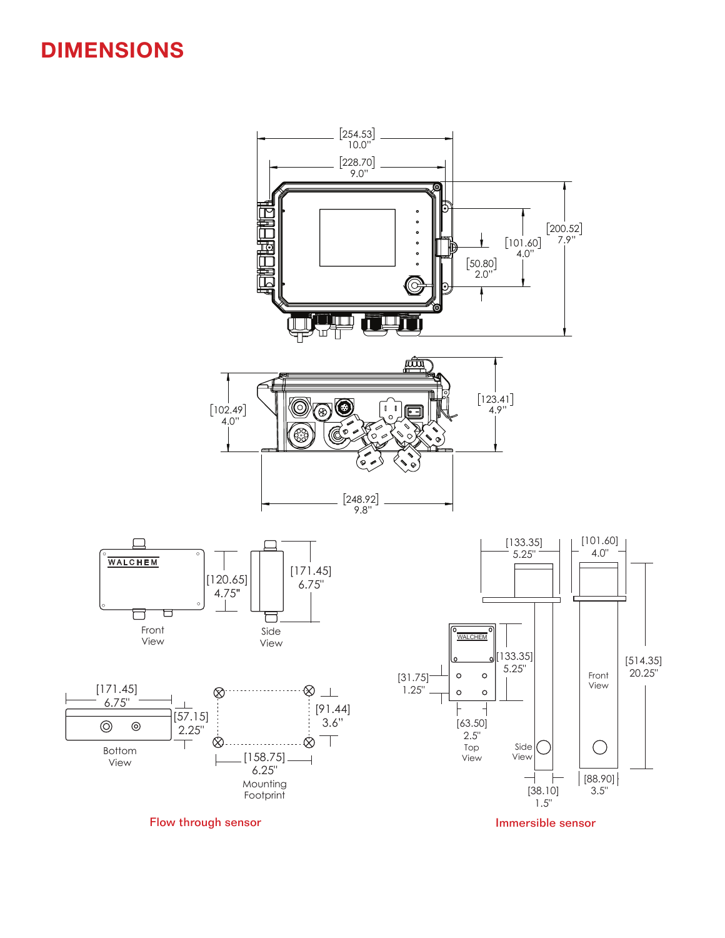## DIMENSIONS